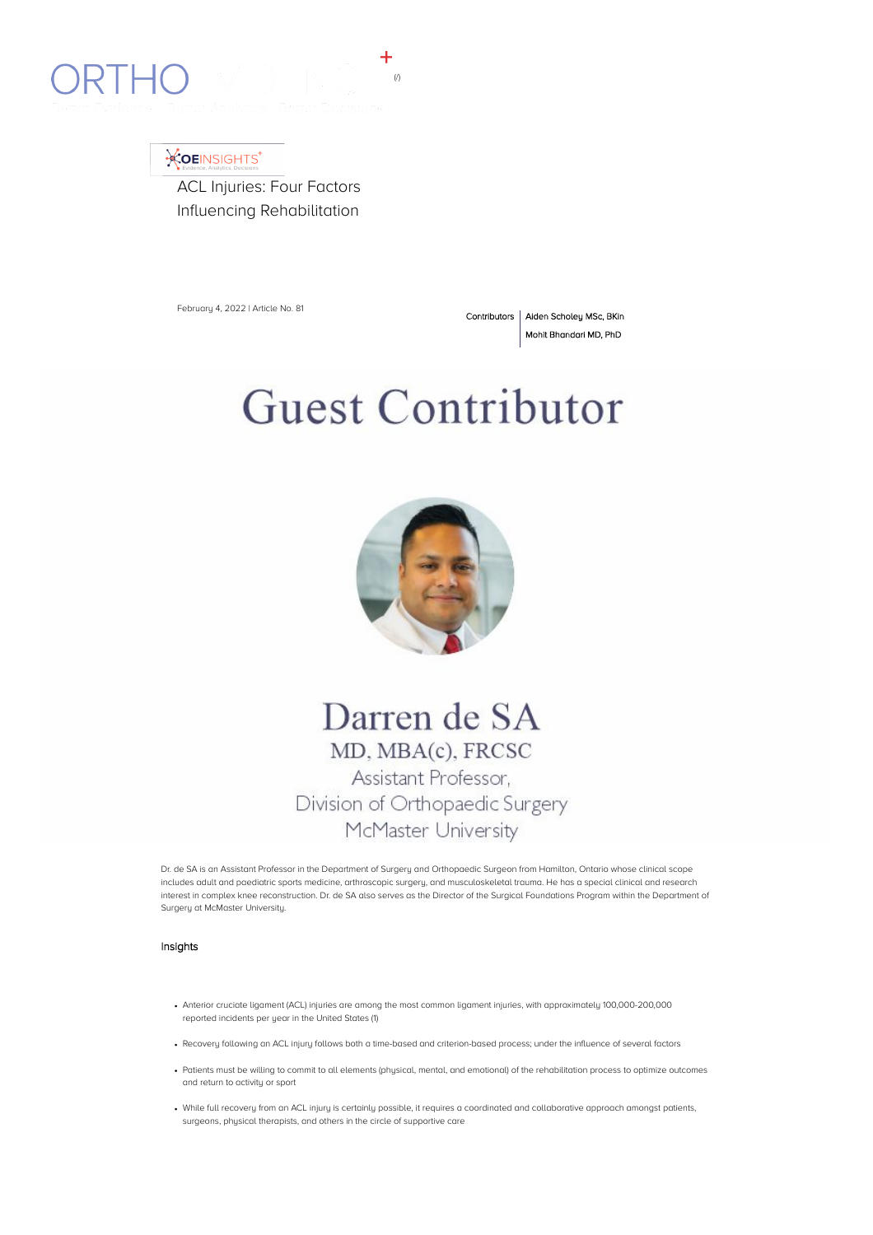

## **XOEINSIGHTS**

ACL Injuries: Four Factors Influencing Rehabilitation

February 4, 2022 | Article No. 81

Contributors | Aiden Scholey MSc, BKin Mohit Bhandari MD, PhD

# **Guest Contributor**



## Darren de SA MD, MBA(c), FRCSC Assistant Professor, Division of Orthopaedic Surgery McMaster University

Dr. de SA is an Assistant Professor in the Department of Surgery and Orthopaedic Surgeon from Hamilton, Ontario whose clinical scope includes adult and paediatric sports medicine, arthroscopic surgery, and musculoskeletal trauma. He has a special clinical and research interest in complex knee reconstruction. Dr. de SA also serves as the Director of the Surgical Foundations Program within the Department of Surgery at McMaster University.

#### Insights

- Anterior cruciate ligament (ACL) injuries are among the most common ligament injuries, with approximately 100,000-200,000 reported incidents per year in the United States (1)
- Recovery following an ACL injury follows both a time-based and criterion-based process; under the influence of several factors
- Patients must be willing to commit to all elements (physical, mental, and emotional) of the rehabilitation process to optimize outcomes and return to activity or sport
- While full recovery from an ACL injury is certainly possible, it requires a coordinated and collaborative approach amongst patients, surgeons, physical therapists, and others in the circle of supportive care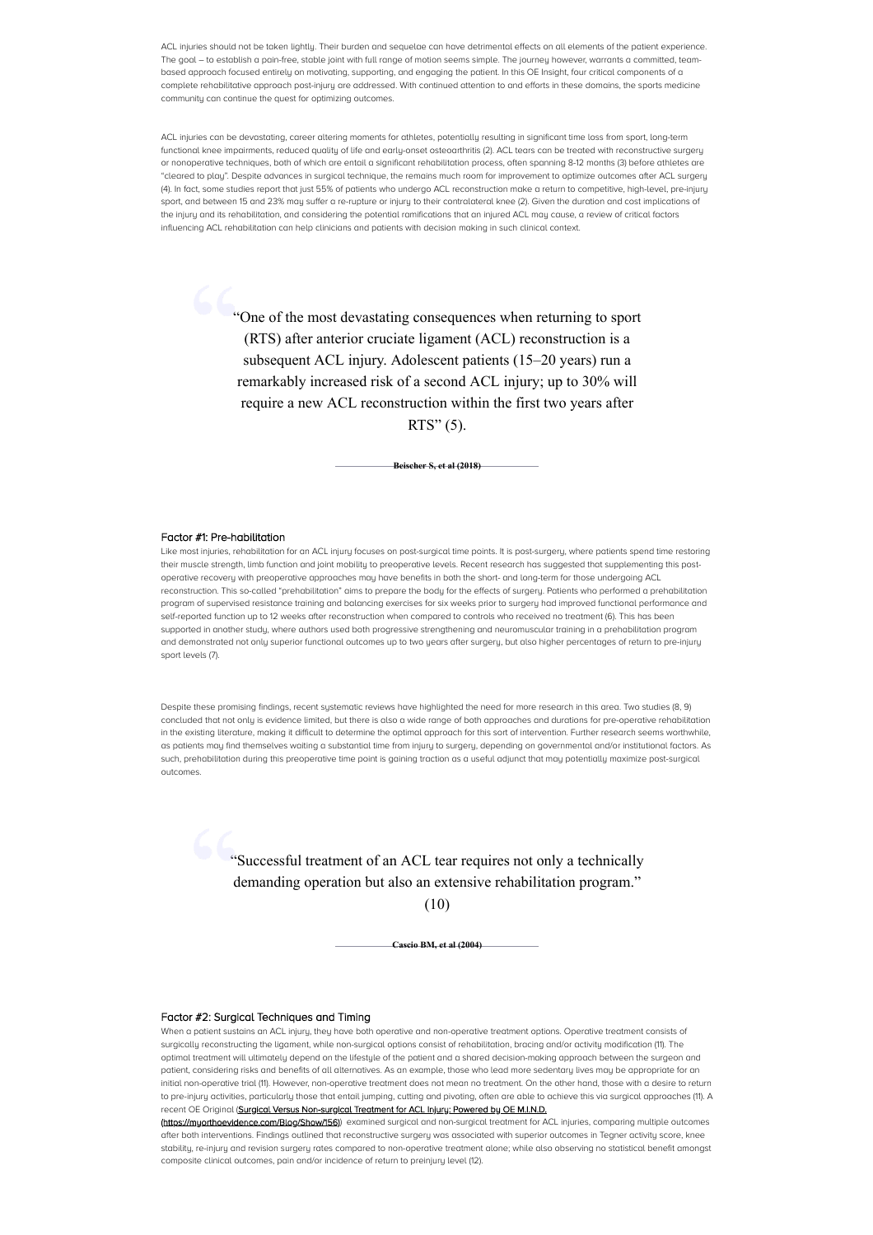ACL injuries should not be taken lightly. Their burden and sequelae can have detrimental effects on all elements of the patient experience. The goal – to establish a pain-free, stable joint with full range of motion seems simple. The journey however, warrants a committed, teambased approach focused entirely on motivating, supporting, and engaging the patient. In this OE Insight, four critical components of a complete rehabilitative approach post-injury are addressed. With continued attention to and efforts in these domains, the sports medicine community can continue the quest for optimizing outcomes.

ACL injuries can be devastating, career altering moments for athletes, potentially resulting in significant time loss from sport, long-term functional knee impairments, reduced quality of life and early-onset osteoarthritis (2). ACL tears can be treated with reconstructive surgery or nonoperative techniques, both of which are entail a significant rehabilitation process, often spanning 8-12 months (3) before athletes are "cleared to play". Despite advances in surgical technique, the remains much room for improvement to optimize outcomes after ACL surgery (4). In fact, some studies report that just 55% of patients who undergo ACL reconstruction make a return to competitive, high-level, pre-injury sport, and between 15 and 23% may suffer a re-rupture or injury to their contralateral knee (2). Given the duration and cost implications of the injury and its rehabilitation, and considering the potential ramifications that an injured ACL may cause, a review of critical factors influencing ACL rehabilitation can help clinicians and patients with decision making in such clinical context.

> "One of the most devastating consequences when returning to sport (RTS) after anterior cruciate ligament (ACL) reconstruction is a subsequent ACL injury. Adolescent patients (15–20 years) run a remarkably increased risk of a second ACL injury; up to 30% will require a new ACL reconstruction within the first two years after RTS" (5).

> > **Beischer S, et al (2018)**

#### Factor #1: Pre-habilitation

Like most injuries, rehabilitation for an ACL injury focuses on post-surgical time points. It is post-surgery, where patients spend time restoring their muscle strength, limb function and joint mobility to preoperative levels. Recent research has suggested that supplementing this postoperative recovery with preoperative approaches may have benefits in both the short- and long-term for those undergoing ACL reconstruction. This so-called "prehabilitation" aims to prepare the body for the effects of surgery. Patients who performed a prehabilitation program of supervised resistance training and balancing exercises for six weeks prior to surgery had improved functional performance and self-reported function up to 12 weeks after reconstruction when compared to controls who received no treatment (6). This has been supported in another study, where authors used both progressive strengthening and neuromuscular training in a prehabilitation program and demonstrated not only superior functional outcomes up to two years after surgery, but also higher percentages of return to pre-injury sport levels (7).

Despite these promising findings, recent systematic reviews have highlighted the need for more research in this area. Two studies (8, 9) concluded that not only is evidence limited, but there is also a wide range of both approaches and durations for pre-operative rehabilitation in the existing literature, making it difficult to determine the optimal approach for this sort of intervention. Further research seems worthwhile, as patients may find themselves waiting a substantial time from injury to surgery, depending on governmental and/or institutional factors. As such, prehabilitation during this preoperative time point is gaining traction as a useful adjunct that may potentially maximize post-surgical outcomes.

> "Successful treatment of an ACL tear requires not only a technically demanding operation but also an extensive rehabilitation program."

> > (10)

**Cascio BM, et al (2004)**

#### Factor #2: Surgical Techniques and Timing

When a patient sustains an ACL injury, they have both operative and non-operative treatment options. Operative treatment consists of surgically reconstructing the ligament, while non-surgical options consist of rehabilitation, bracing and/or activity modification (11). The optimal treatment will ultimately depend on the lifestyle of the patient and a shared decision-making approach between the surgeon and patient, considering risks and benefits of all alternatives. As an example, those who lead more sedentary lives may be appropriate for an initial non-operative trial (11). However, non-operative treatment does not mean no treatment. On the other hand, those with a desire to return to pre-injury activities, particularly those that entail jumping, cutting and pivoting, often are able to achieve this via surgical approaches (11). A recent OE Original (Surgical Versus Non-surgical Treatment for ACL Injury: Powered by OE M.I.N.D.

(https://myorthoevidence.com/Blog/Show/156)) examined surgical and non-surgical treatment for ACL injuries, comparing multiple outcomes after both interventions. Findings outlined that reconstructive surgery was associated with superior outcomes in Tegner activity score, knee stability, re-injury and revision surgery rates compared to non-operative treatment alone; while also observing no statistical benefit amongst composite clinical outcomes, pain and/or incidence of return to preinjury level (12).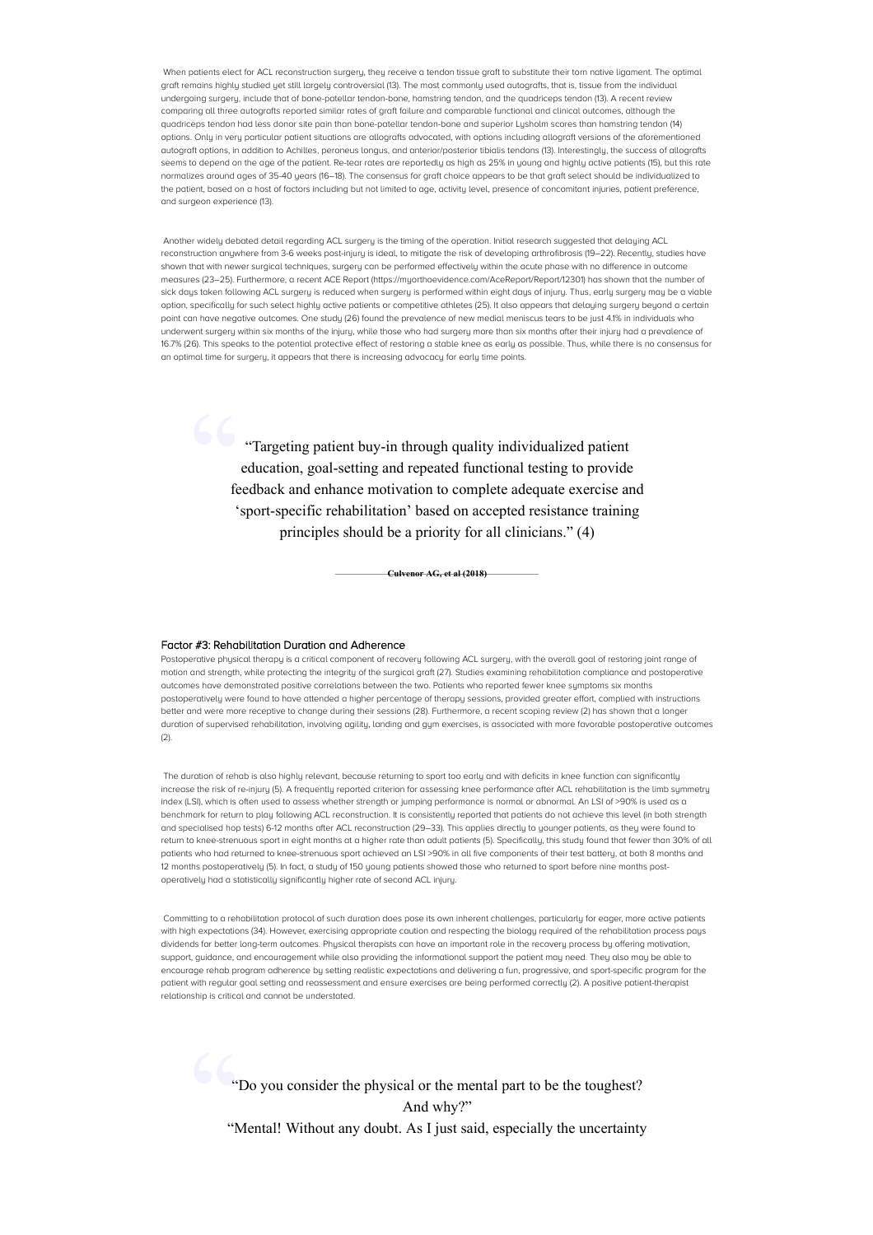When patients elect for ACL reconstruction surgery, they receive a tendon tissue graft to substitute their torn native ligament. The optimal graft remains highly studied yet still largely controversial (13). The most commonly used autografts, that is, tissue from the individual undergoing surgery, include that of bone-patellar tendon-bone, hamstring tendon, and the quadriceps tendon (13). A recent review comparing all three autografts reported similar rates of graft failure and comparable functional and clinical outcomes, although the quadriceps tendon had less donor site pain than bone-patellar tendon-bone and superior Lysholm scores than hamstring tendon (14) options. Only in very particular patient situations are allografts advocated, with options including allograft versions of the aforementioned autograft options, in addition to Achilles, peroneus longus, and anterior/posterior tibialis tendons (13). Interestingly, the success of allografts seems to depend on the age of the patient. Re-tear rates are reportedly as high as 25% in young and highly active patients (15), but this rate normalizes around ages of 35-40 years (16–18). The consensus for graft choice appears to be that graft select should be individualized to the patient, based on a host of factors including but not limited to age, activity level, presence of concomitant injuries, patient preference, and surgeon experience (13).

Another widely debated detail regarding ACL surgery is the timing of the operation. Initial research suggested that delaying ACL reconstruction anuwhere from 3-6 weeks post-injury is ideal, to mitigate the risk of developing arthrofibrosis (19–22). Recently, studies have shown that with newer surgical techniques, surgery can be performed effectively within the acute phase with no difference in outcome measures (23–25). Furthermore, a recent ACE Report (https://myorthoevidence.com/AceReport/Report/12301) has shown that the number of sick days taken following ACL surgery is reduced when surgery is performed within eight days of injury. Thus, early surgery may be a viable option, specifically for such select highly active patients or competitive athletes (25). It also appears that delaying surgery beyond a certain point can have negative outcomes. One study (26) found the prevalence of new medial meniscus tears to be just 4.1% in individuals who underwent surgery within six months of the injury, while those who had surgery more than six months after their injury had a prevalence of 16.7% (26). This speaks to the potential protective effect of restoring a stable knee as early as possible. Thus, while there is no consensus for an optimal time for surgery, it appears that there is increasing advocacy for early time points.

> "Targeting patient buy-in through quality individualized patient education, goal-setting and repeated functional testing to provide feedback and enhance motivation to complete adequate exercise and 'sport-specific rehabilitation' based on accepted resistance training principles should be a priority for all clinicians." (4)

> > **Culvenor AG, et al (2018)**

#### Factor #3: Rehabilitation Duration and Adherence

Postoperative physical therapy is a critical component of recovery following ACL surgery, with the overall goal of restoring joint range of motion and strength, while protecting the integrity of the surgical graft (27). Studies examining rehabilitation compliance and postoperative outcomes have demonstrated positive correlations between the two. Patients who reported fewer knee symptoms six months postoperatively were found to have attended a higher percentage of therapy sessions, provided greater effort, complied with instructions better and were more receptive to change during their sessions (28). Furthermore, a recent scoping review (2) has shown that a longer duration of supervised rehabilitation, involving agility, landing and gum exercises, is associated with more favorable postoperative outcomes  $(2)$ .

The duration of rehab is also highly relevant, because returning to sport too early and with deficits in knee function can significantly increase the risk of re-injury (5). A frequently reported criterion for assessing knee performance after ACL rehabilitation is the limb symmetry index (LSI), which is often used to assess whether strength or jumping performance is normal or abnormal. An LSI of >90% is used as a benchmark for return to play following ACL reconstruction. It is consistently reported that patients do not achieve this level (in both strength and specialised hop tests) 6-12 months after ACL reconstruction (29–33). This applies directly to younger patients, as they were found to return to knee-strenuous sport in eight months at a higher rate than adult patients (5). Specifically, this study found that fewer than 30% of all patients who had returned to knee-strenuous sport achieved an LSI >90% in all five components of their test battery, at both 8 months and 12 months postoperatively (5). In fact, a study of 150 young patients showed those who returned to sport before nine months postoperatively had a statistically significantly higher rate of second ACL injury.

Committing to a rehabilitation protocol of such duration does pose its own inherent challenges, particularly for eager, more active patients with high expectations (34). However, exercising appropriate caution and respecting the biology required of the rehabilitation process pays dividends for better long-term outcomes. Physical therapists can have an important role in the recovery process by offering motivation, support, guidance, and encouragement while also providing the informational support the patient may need. They also may be able to encourage rehab program adherence by setting realistic expectations and delivering a fun, progressive, and sport-specific program for the patient with regular goal setting and reassessment and ensure exercises are being performed correctly (2). A positive patient-therapist relationship is critical and cannot be understated.

> "Do you consider the physical or the mental part to be the toughest? And why?" "Mental! Without any doubt. As I just said, especially the uncertainty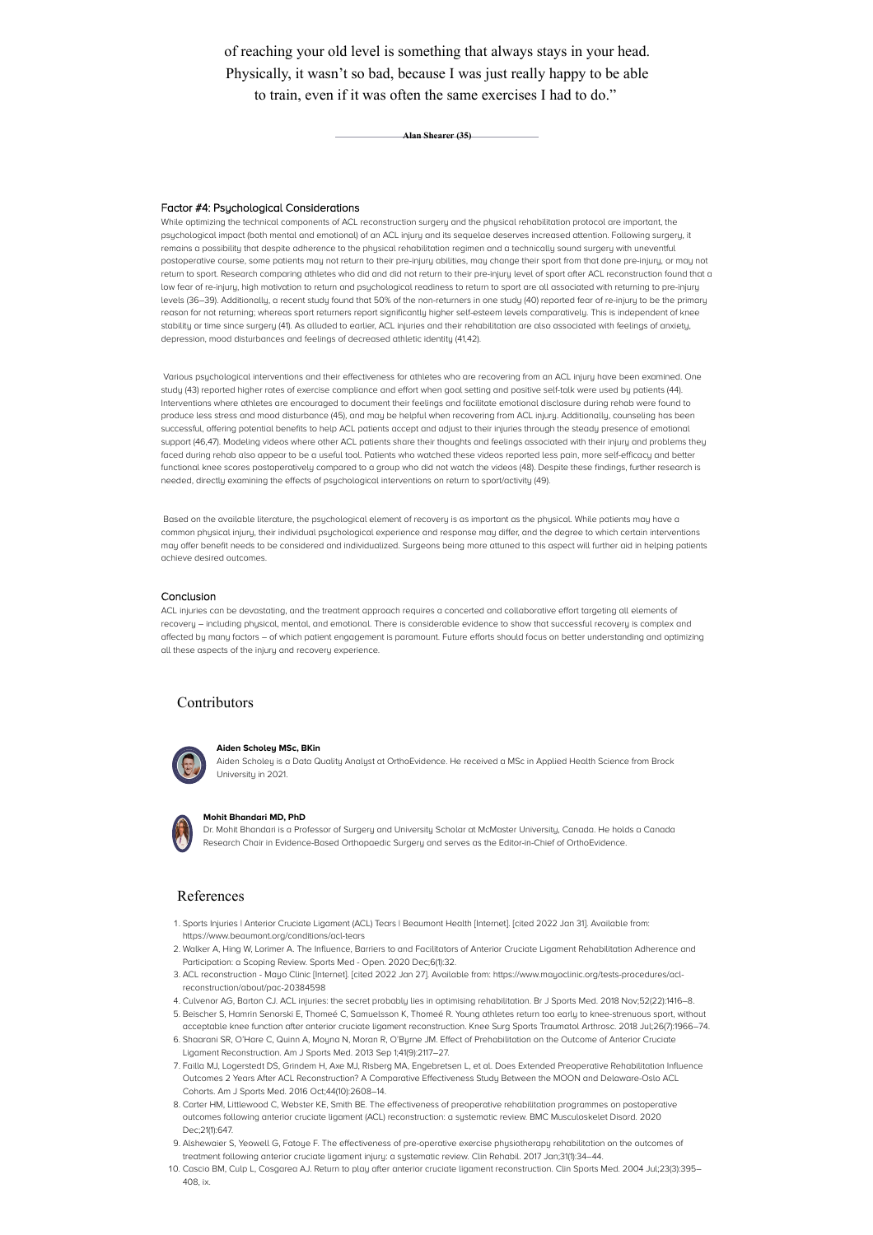of reaching your old level is something that always stays in your head. Physically, it wasn't so bad, because I was just really happy to be able to train, even if it was often the same exercises I had to do."

**Alan Shearer (35)**

#### Factor #4: Psychological Considerations

While optimizing the technical components of ACL reconstruction surgery and the physical rehabilitation protocol are important, the psychological impact (both mental and emotional) of an ACL injury and its sequelae deserves increased attention. Following surgery, it remains a possibility that despite adherence to the physical rehabilitation regimen and a technically sound surgery with uneventful postoperative course, some patients may not return to their pre-injury abilities, may change their sport from that done pre-injury, or may not return to sport. Research comparing athletes who did and did not return to their pre-injury level of sport after ACL reconstruction found that a low fear of re-injury, high motivation to return and psychological readiness to return to sport are all associated with returning to pre-injury levels (36–39). Additionally, a recent study found that 50% of the non-returners in one study (40) reported fear of re-injury to be the primary reason for not returning; whereas sport returners report significantly higher self-esteem levels comparatively. This is independent of knee stability or time since surgery (41). As alluded to earlier, ACL injuries and their rehabilitation are also associated with feelings of anxiety, depression, mood disturbances and feelings of decreased athletic identity (41,42).

Various psychological interventions and their effectiveness for athletes who are recovering from an ACL injury have been examined. One study (43) reported higher rates of exercise compliance and effort when goal setting and positive self-talk were used by patients (44). Interventions where athletes are encouraged to document their feelings and facilitate emotional disclosure during rehab were found to produce less stress and mood disturbance (45), and may be helpful when recovering from ACL injury. Additionally, counseling has been successful, offering potential benefits to help ACL patients accept and adjust to their injuries through the steady presence of emotional support (46,47). Modeling videos where other ACL patients share their thoughts and feelings associated with their injury and problems they faced during rehab also appear to be a useful tool. Patients who watched these videos reported less pain, more self-efficacy and better functional knee scores postoperatively compared to a group who did not watch the videos (48). Despite these findings, further research is needed, directly examining the effects of psychological interventions on return to sport/activity (49).

Based on the available literature, the psychological element of recovery is as important as the physical. While patients may have a common physical injury, their individual psychological experience and response may differ, and the degree to which certain interventions may offer benefit needs to be considered and individualized. Surgeons being more attuned to this aspect will further aid in helping patients achieve desired outcomes.

#### Conclusion

ACL injuries can be devastating, and the treatment approach requires a concerted and collaborative effort targeting all elements of recovery – including physical, mental, and emotional. There is considerable evidence to show that successful recovery is complex and affected by many factors – of which patient engagement is paramount. Future efforts should focus on better understanding and optimizing all these aspects of the injury and recovery experience.

### Contributors



#### **Aiden Scholey MSc, BKin**

Aiden Scholey is a Data Quality Analyst at OrthoEvidence. He received a MSc in Applied Health Science from Brock University in 2021.



#### **Mohit Bhandari MD, PhD**

Dr. Mohit Bhandari is a Professor of Surgery and University Scholar at McMaster University, Canada. He holds a Canada Research Chair in Evidence-Based Orthopaedic Surgery and serves as the Editor-in-Chief of OrthoEvidence.

#### References

- . Sports Injuries | Anterior Cruciate Ligament (ACL) Tears | Beaumont Health [Internet]. [cited 2022 Jan 31]. Available from: https://www.beaumont.org/conditions/acl-tears
- . Walker A, Hing W, Lorimer A. The Influence, Barriers to and Facilitators of Anterior Cruciate Ligament Rehabilitation Adherence and Participation: a Scoping Review. Sports Med - Open. 2020 Dec;6(1):32.
- . ACL reconstruction Mayo Clinic [Internet]. [cited 2022 Jan 27]. Available from: https://www.mayoclinic.org/tests-procedures/aclreconstruction/about/pac-20384598
- . Culvenor AG, Barton CJ. ACL injuries: the secret probably lies in optimising rehabilitation. Br J Sports Med. 2018 Nov;52(22):1416–8. . Beischer S, Hamrin Senorski E, Thomeé C, Samuelsson K, Thomeé R. Young athletes return too early to knee-strenuous sport, without
- acceptable knee function after anterior cruciate ligament reconstruction. Knee Surg Sports Traumatol Arthrosc. 2018 Jul;26(7):1966–74. . Shaarani SR, O'Hare C, Quinn A, Moyna N, Moran R, O'Byrne JM. Effect of Prehabilitation on the Outcome of Anterior Cruciate
- Ligament Reconstruction. Am J Sports Med. 2013 Sep 1;41(9):2117–27.
- . Failla MJ, Logerstedt DS, Grindem H, Axe MJ, Risberg MA, Engebretsen L, et al. Does Extended Preoperative Rehabilitation Influence Outcomes 2 Years After ACL Reconstruction? A Comparative Effectiveness Study Between the MOON and Delaware-Oslo ACL Cohorts. Am J Sports Med. 2016 Oct;44(10):2608–14.
- . Carter HM, Littlewood C, Webster KE, Smith BE. The effectiveness of preoperative rehabilitation programmes on postoperative outcomes following anterior cruciate ligament (ACL) reconstruction: a systematic review. BMC Musculoskelet Disord. 2020 Dec;21(1):647.
- . Alshewaier S, Yeowell G, Fatoye F. The effectiveness of pre-operative exercise physiotherapy rehabilitation on the outcomes of treatment following anterior cruciate ligament injury: a systematic review. Clin Rehabil. 2017 Jan;31(1):34–44.
- . Cascio BM, Culp L, Cosgarea AJ. Return to play after anterior cruciate ligament reconstruction. Clin Sports Med. 2004 Jul;23(3):395– 408, ix.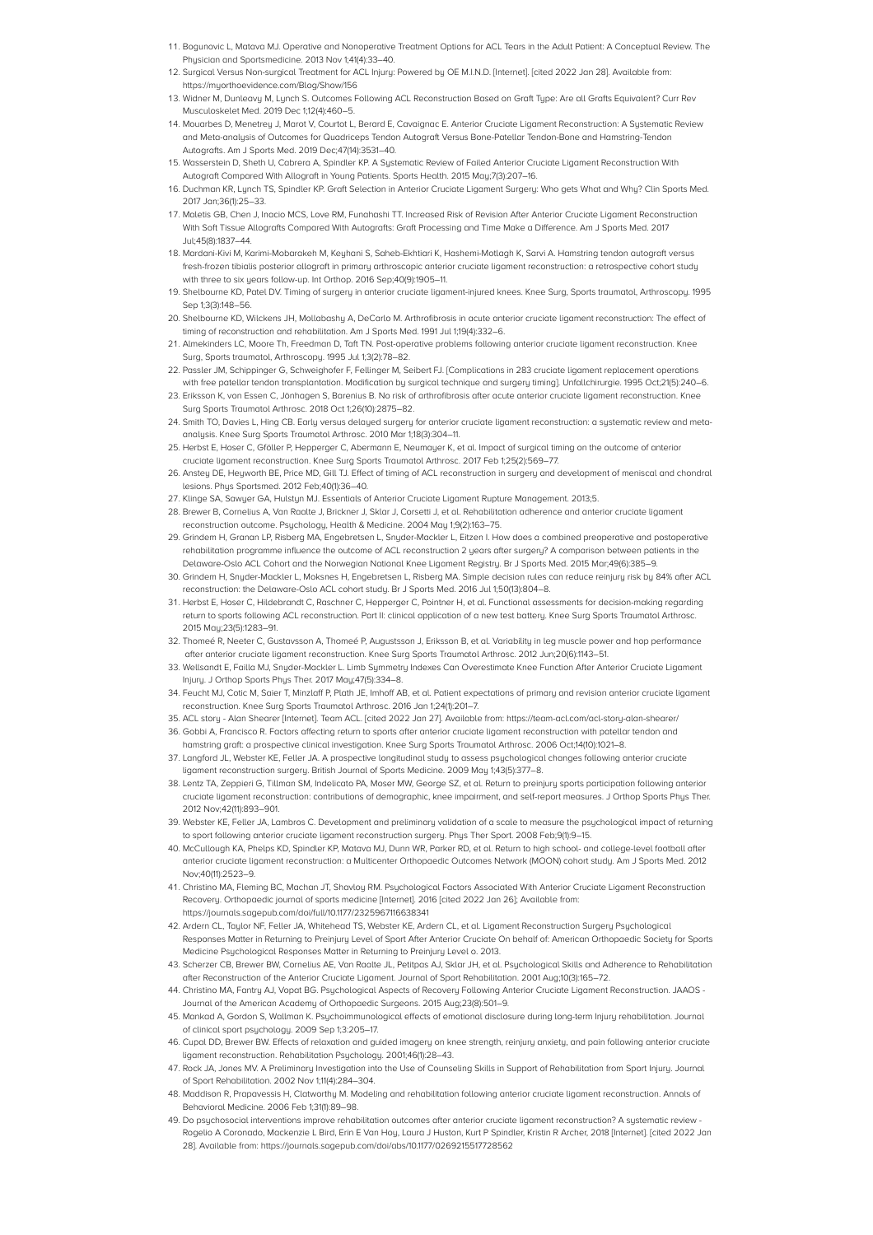- . Bogunovic L, Matava MJ. Operative and Nonoperative Treatment Options for ACL Tears in the Adult Patient: A Conceptual Review. The Physician and Sportsmedicine. 2013 Nov 1:41(4):33-40.
- . Surgical Versus Non-surgical Treatment for ACL Injury: Powered by OE M.I.N.D. [Internet]. [cited 2022 Jan 28]. Available from: https://myorthoevidence.com/Blog/Show/156
- . Widner M, Dunleavy M, Lynch S. Outcomes Following ACL Reconstruction Based on Graft Type: Are all Grafts Equivalent? Curr Rev Musculoskelet Med. 2019 Dec 1;12(4):460–5.
- 14. Mouarbes D, Menetrey J, Marot V, Courtot L, Berard E, Cavaignac E, Anterior Cruciate Ligament Reconstruction: A Systematic Review and Meta-analysis of Outcomes for Quadriceps Tendon Autograft Versus Bone-Patellar Tendon-Bone and Hamstring-Tendon Autografts. Am J Sports Med. 2019 Dec;47(14):3531–40.
- . Wasserstein D, Sheth U, Cabrera A, Spindler KP. A Systematic Review of Failed Anterior Cruciate Ligament Reconstruction With Autograft Compared With Allograft in Young Patients. Sports Health. 2015 May;7(3):207–16.
- . Duchman KR, Lynch TS, Spindler KP. Graft Selection in Anterior Cruciate Ligament Surgery: Who gets What and Why? Clin Sports Med. 2017 Jan;36(1):25–33.
- . Maletis GB, Chen J, Inacio MCS, Love RM, Funahashi TT. Increased Risk of Revision After Anterior Cruciate Ligament Reconstruction With Soft Tissue Allografts Compared With Autografts: Graft Processing and Time Make a Difference. Am J Sports Med. 2017 Jul;45(8):1837–44.
- . Mardani-Kivi M, Karimi-Mobarakeh M, Keyhani S, Saheb-Ekhtiari K, Hashemi-Motlagh K, Sarvi A. Hamstring tendon autograft versus fresh-frozen tibialis posterior allograft in primary arthroscopic anterior cruciate ligament reconstruction: a retrospective cohort study with three to six years follow-up. Int Orthop. 2016 Sep;40(9):1905–11.
- . Shelbourne KD, Patel DV. Timing of surgery in anterior cruciate ligament-injured knees. Knee Surg, Sports traumatol, Arthroscopy. 1995 Sep 1;3(3):148–56.
- . Shelbourne KD, Wilckens JH, Mollabashy A, DeCarlo M. Arthrofibrosis in acute anterior cruciate ligament reconstruction: The effect of timing of reconstruction and rehabilitation. Am J Sports Med. 1991 Jul 1;19(4):332–6.
- . Almekinders LC, Moore Th, Freedman D, Taft TN. Post-operative problems following anterior cruciate ligament reconstruction. Knee Surg, Sports traumatol, Arthroscopy. 1995 Jul 1;3(2):78–82.
- . Passler JM, Schippinger G, Schweighofer F, Fellinger M, Seibert FJ. [Complications in 283 cruciate ligament replacement operations with free patellar tendon transplantation. Modification by surgical technique and surgery timing]. Unfallchirurgie. 1995 Oct;21(5):240–6.
- . Eriksson K, von Essen C, Jönhagen S, Barenius B. No risk of arthrofibrosis after acute anterior cruciate ligament reconstruction. Knee Surg Sports Traumatol Arthrosc. 2018 Oct 1;26(10):2875–82.
- . Smith TO, Davies L, Hing CB. Early versus delayed surgery for anterior cruciate ligament reconstruction: a systematic review and metaanalysis. Knee Surg Sports Traumatol Arthrosc. 2010 Mar 1;18(3):304–11.
- 25. Herbst E, Hoser C, Gföller P, Hepperger C, Abermann E, Neumayer K, et al. Impact of surgical timing on the outcome of anterior cruciate ligament reconstruction. Knee Surg Sports Traumatol Arthrosc. 2017 Feb 1;25(2):569–77.
- . Anstey DE, Heyworth BE, Price MD, Gill TJ. Effect of timing of ACL reconstruction in surgery and development of meniscal and chondral lesions. Phys Sportsmed. 2012 Feb;40(1):36–40.
- 27. Klinge SA, Sawuer GA, Hulstun MJ. Essentials of Anterior Cruciate Ligament Rupture Management. 2013;5.
- 28. Brewer B, Cornelius A, Van Raalte J, Brickner J, Sklar J, Corsetti J, et al. Rehabilitation adherence and anterior cruciate ligament reconstruction outcome. Psychology, Health & Medicine. 2004 May 1;9(2):163–75.
- . Grindem H, Granan LP, Risberg MA, Engebretsen L, Snyder-Mackler L, Eitzen I. How does a combined preoperative and postoperative rehabilitation programme influence the outcome of ACL reconstruction 2 years after surgery? A comparison between patients in the Delaware-Oslo ACL Cohort and the Norwegian National Knee Ligament Registry. Br J Sports Med. 2015 Mar;49(6):385–9.
- . Grindem H, Snyder-Mackler L, Moksnes H, Engebretsen L, Risberg MA. Simple decision rules can reduce reinjury risk by 84% after ACL reconstruction: the Delaware-Oslo ACL cohort study. Br J Sports Med. 2016 Jul 1;50(13):804–8.
- . Herbst E, Hoser C, Hildebrandt C, Raschner C, Hepperger C, Pointner H, et al. Functional assessments for decision-making regarding return to sports following ACL reconstruction. Part II: clinical application of a new test battery. Knee Surg Sports Traumatol Arthrosc. 2015 May;23(5):1283–91.
- . Thomeé R, Neeter C, Gustavsson A, Thomeé P, Augustsson J, Eriksson B, et al. Variability in leg muscle power and hop performance after anterior cruciate ligament reconstruction. Knee Surg Sports Traumatol Arthrosc. 2012 Jun;20(6):1143–51.
- . Wellsandt E, Failla MJ, Snyder-Mackler L. Limb Symmetry Indexes Can Overestimate Knee Function After Anterior Cruciate Ligament Injury. J Orthop Sports Phys Ther. 2017 May;47(5):334–8.
- . Feucht MJ, Cotic M, Saier T, Minzlaff P, Plath JE, Imhoff AB, et al. Patient expectations of primary and revision anterior cruciate ligament reconstruction. Knee Surg Sports Traumatol Arthrosc. 2016 Jan 1;24(1):201–7.
- . ACL story Alan Shearer [Internet]. Team ACL. [cited 2022 Jan 27]. Available from: https://team-acl.com/acl-story-alan-shearer/ . Gobbi A, Francisco R. Factors affecting return to sports after anterior cruciate ligament reconstruction with patellar tendon and
- hamstring graft: a prospective clinical investigation. Knee Surg Sports Traumatol Arthrosc. 2006 Oct;14(10):1021–8.
- . Langford JL, Webster KE, Feller JA. A prospective longitudinal study to assess psychological changes following anterior cruciate ligament reconstruction surgery. British Journal of Sports Medicine. 2009 May 1;43(5):377–8.
- . Lentz TA, Zeppieri G, Tillman SM, Indelicato PA, Moser MW, George SZ, et al. Return to preinjury sports participation following anterior cruciate ligament reconstruction: contributions of demographic, knee impairment, and self-report measures. J Orthop Sports Phys Ther. 2012 Nov;42(11):893–901.
- . Webster KE, Feller JA, Lambros C. Development and preliminary validation of a scale to measure the psychological impact of returning to sport following anterior cruciate ligament reconstruction surgery. Phys Ther Sport. 2008 Feb;9(1):9–15.
- . McCullough KA, Phelps KD, Spindler KP, Matava MJ, Dunn WR, Parker RD, et al. Return to high school- and college-level football after anterior cruciate ligament reconstruction: a Multicenter Orthopaedic Outcomes Network (MOON) cohort study. Am J Sports Med. 2012 Nov;40(11):2523–9.
- . Christino MA, Fleming BC, Machan JT, Shavloy RM. Psychological Factors Associated With Anterior Cruciate Ligament Reconstruction Recovery. Orthopaedic journal of sports medicine [Internet]. 2016 [cited 2022 Jan 26]; Available from: https://journals.sagepub.com/doi/full/10.1177/2325967116638341
- . Ardern CL, Taylor NF, Feller JA, Whitehead TS, Webster KE, Ardern CL, et al. Ligament Reconstruction Surgery Psychological Responses Matter in Returning to Preinjury Level of Sport After Anterior Cruciate On behalf of: American Orthopaedic Society for Sports Medicine Psychological Responses Matter in Returning to Preinjury Level o. 2013.
- . Scherzer CB, Brewer BW, Cornelius AE, Van Raalte JL, Petitpas AJ, Sklar JH, et al. Psychological Skills and Adherence to Rehabilitation after Reconstruction of the Anterior Cruciate Ligament. Journal of Sport Rehabilitation. 2001 Aug;10(3):165–72.
- . Christino MA, Fantry AJ, Vopat BG. Psychological Aspects of Recovery Following Anterior Cruciate Ligament Reconstruction. JAAOS Journal of the American Academy of Orthopaedic Surgeons. 2015 Aug;23(8):501–9.
- . Mankad A, Gordon S, Wallman K. Psychoimmunological effects of emotional disclosure during long-term Injury rehabilitation. Journal of clinical sport psychology. 2009 Sep 1;3:205–17.
- . Cupal DD, Brewer BW. Effects of relaxation and guided imagery on knee strength, reinjury anxiety, and pain following anterior cruciate ligament reconstruction. Rehabilitation Psychology. 2001;46(1):28–43.
- . Rock JA, Jones MV. A Preliminary Investigation into the Use of Counseling Skills in Support of Rehabilitation from Sport Injury. Journal of Sport Rehabilitation. 2002 Nov 1;11(4):284–304.
- . Maddison R, Prapavessis H, Clatworthy M. Modeling and rehabilitation following anterior cruciate ligament reconstruction. Annals of Behavioral Medicine. 2006 Feb 1;31(1):89–98.
- . Do psychosocial interventions improve rehabilitation outcomes after anterior cruciate ligament reconstruction? A systematic review Rogelio A Coronado, Mackenzie L Bird, Erin E Van Hoy, Laura J Huston, Kurt P Spindler, Kristin R Archer, 2018 [Internet]. [cited 2022 Jan 28]. Available from: https://journals.sagepub.com/doi/abs/10.1177/0269215517728562